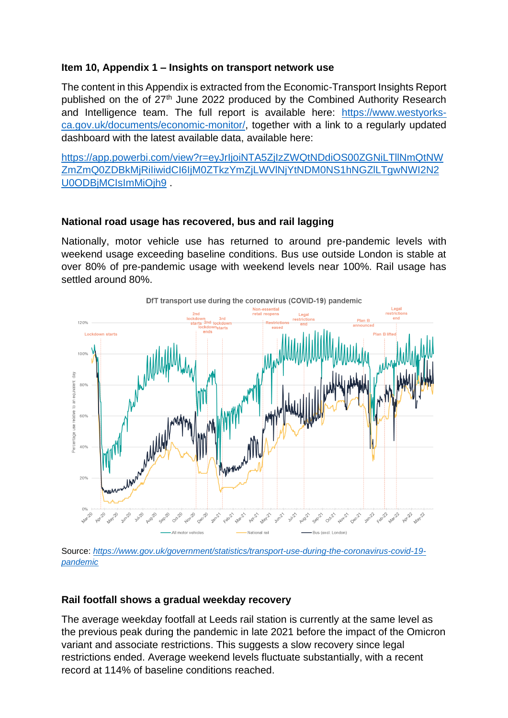## **Item 10, Appendix 1 – Insights on transport network use**

The content in this Appendix is extracted from the Economic-Transport Insights Report published on the of 27<sup>th</sup> June 2022 produced by the Combined Authority Research and Intelligence team. The full report is available here: [https://www.westyorks](https://www.westyorks-ca.gov.uk/documents/economic-monitor/)[ca.gov.uk/documents/economic-monitor/,](https://www.westyorks-ca.gov.uk/documents/economic-monitor/) together with a link to a regularly updated dashboard with the latest available data, available here:

[https://app.powerbi.com/view?r=eyJrIjoiNTA5ZjIzZWQtNDdiOS00ZGNiLTllNmQtNW](https://app.powerbi.com/view?r=eyJrIjoiNTA5ZjIzZWQtNDdiOS00ZGNiLTllNmQtNWZmZmQ0ZDBkMjRiIiwidCI6IjM0ZTkzYmZjLWVlNjYtNDM0NS1hNGZlLTgwNWI2N2U0ODBjMCIsImMiOjh9) [ZmZmQ0ZDBkMjRiIiwidCI6IjM0ZTkzYmZjLWVlNjYtNDM0NS1hNGZlLTgwNWI2N2](https://app.powerbi.com/view?r=eyJrIjoiNTA5ZjIzZWQtNDdiOS00ZGNiLTllNmQtNWZmZmQ0ZDBkMjRiIiwidCI6IjM0ZTkzYmZjLWVlNjYtNDM0NS1hNGZlLTgwNWI2N2U0ODBjMCIsImMiOjh9) [U0ODBjMCIsImMiOjh9](https://app.powerbi.com/view?r=eyJrIjoiNTA5ZjIzZWQtNDdiOS00ZGNiLTllNmQtNWZmZmQ0ZDBkMjRiIiwidCI6IjM0ZTkzYmZjLWVlNjYtNDM0NS1hNGZlLTgwNWI2N2U0ODBjMCIsImMiOjh9) .

## **National road usage has recovered, bus and rail lagging**

Nationally, motor vehicle use has returned to around pre-pandemic levels with weekend usage exceeding baseline conditions. Bus use outside London is stable at over 80% of pre-pandemic usage with weekend levels near 100%. Rail usage has settled around 80%.



Source: *[https://www.gov.uk/government/statistics/transport-use-during-the-coronavirus-covid-19](https://www.gov.uk/government/statistics/transport-use-during-the-coronavirus-covid-19-pandemic) [pandemic](https://www.gov.uk/government/statistics/transport-use-during-the-coronavirus-covid-19-pandemic)*

# **Rail footfall shows a gradual weekday recovery**

The average weekday footfall at Leeds rail station is currently at the same level as the previous peak during the pandemic in late 2021 before the impact of the Omicron variant and associate restrictions. This suggests a slow recovery since legal restrictions ended. Average weekend levels fluctuate substantially, with a recent record at 114% of baseline conditions reached.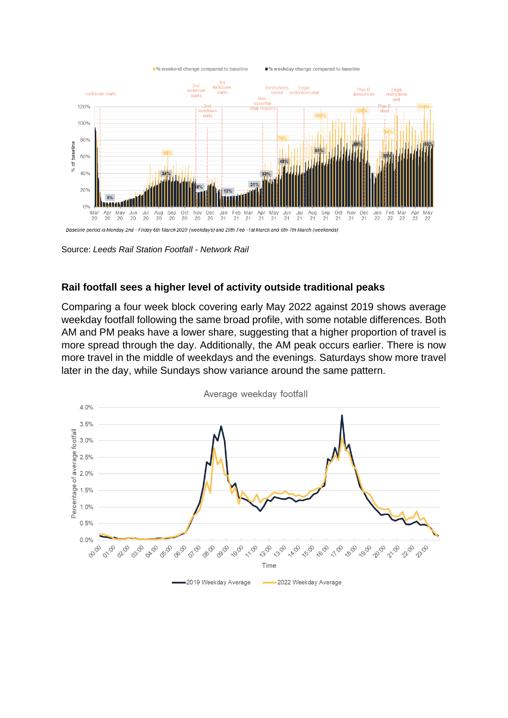

Source: *Leeds Rail Station Footfall - Network Rail*

#### **Rail footfall sees a higher level of activity outside traditional peaks**

Comparing a four week block covering early May 2022 against 2019 shows average weekday footfall following the same broad profile, with some notable differences. Both AM and PM peaks have a lower share, suggesting that a higher proportion of travel is more spread through the day. Additionally, the AM peak occurs earlier. There is now more travel in the middle of weekdays and the evenings. Saturdays show more travel later in the day, while Sundays show variance around the same pattern.



Average weekday footfall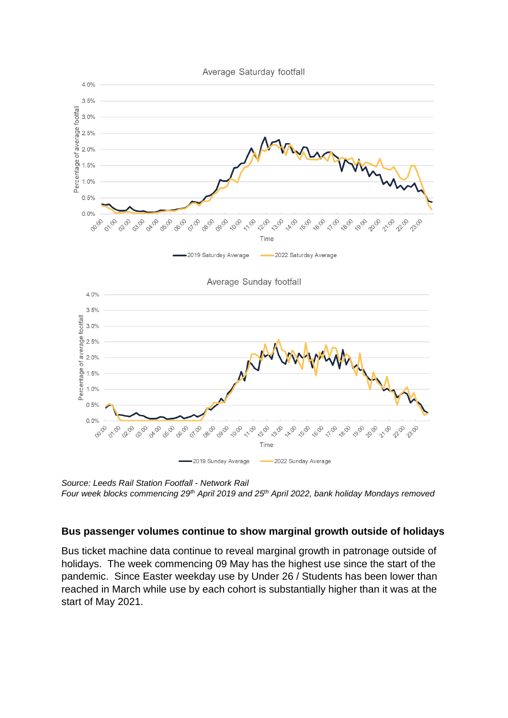

*Source: Leeds Rail Station Footfall - Network Rail Four week blocks commencing 29th April 2019 and 25th April 2022, bank holiday Mondays removed*

### **Bus passenger volumes continue to show marginal growth outside of holidays**

Bus ticket machine data continue to reveal marginal growth in patronage outside of holidays. The week commencing 09 May has the highest use since the start of the pandemic. Since Easter weekday use by Under 26 / Students has been lower than reached in March while use by each cohort is substantially higher than it was at the start of May 2021.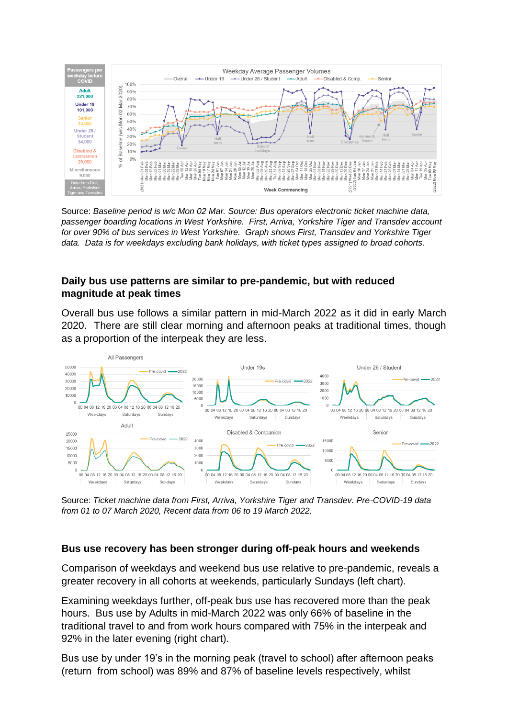

Source: *Baseline period is w/c Mon 02 Mar. Source: Bus operators electronic ticket machine data, passenger boarding locations in West Yorkshire. First, Arriva, Yorkshire Tiger and Transdev account for over 90% of bus services in West Yorkshire. Graph shows First, Transdev and Yorkshire Tiger data. Data is for weekdays excluding bank holidays, with ticket types assigned to broad cohorts.*

## **Daily bus use patterns are similar to pre-pandemic, but with reduced magnitude at peak times**

Overall bus use follows a similar pattern in mid-March 2022 as it did in early March 2020. There are still clear morning and afternoon peaks at traditional times, though as a proportion of the interpeak they are less.



Source: *Ticket machine data from First, Arriva, Yorkshire Tiger and Transdev. Pre-COVID-19 data from 01 to 07 March 2020, Recent data from 06 to 19 March 2022.* 

### **Bus use recovery has been stronger during off-peak hours and weekends**

Comparison of weekdays and weekend bus use relative to pre-pandemic, reveals a greater recovery in all cohorts at weekends, particularly Sundays (left chart).

Examining weekdays further, off-peak bus use has recovered more than the peak hours. Bus use by Adults in mid-March 2022 was only 66% of baseline in the traditional travel to and from work hours compared with 75% in the interpeak and 92% in the later evening (right chart).

Bus use by under 19's in the morning peak (travel to school) after afternoon peaks (return from school) was 89% and 87% of baseline levels respectively, whilst